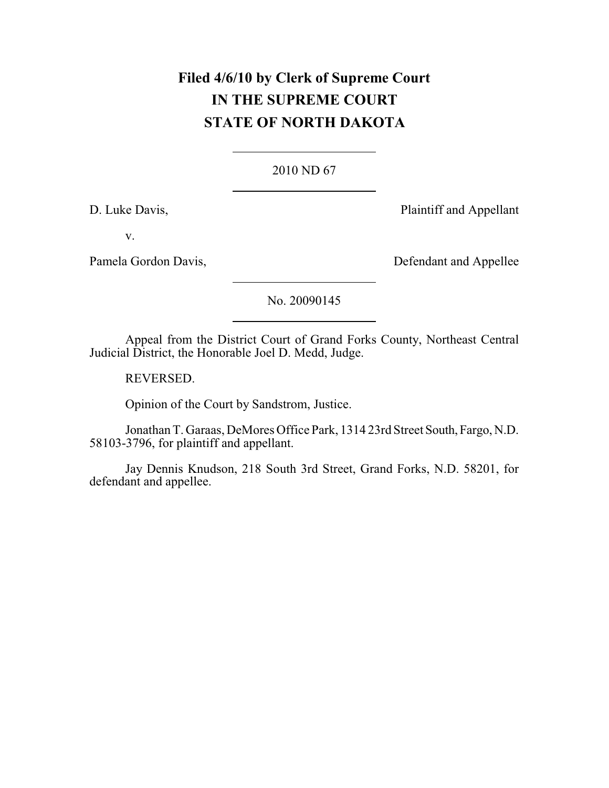# **Filed 4/6/10 by Clerk of Supreme Court IN THE SUPREME COURT STATE OF NORTH DAKOTA**

### [2010 ND 67](http://www.ndcourts.gov/supreme-court/opinion/2010ND67)

D. Luke Davis, Plaintiff and Appellant

v.

Pamela Gordon Davis, Defendant and Appellee

[No. 20090145](http://www.ndcourts.gov/supreme-court/dockets/20090145)

Appeal from the District Court of Grand Forks County, Northeast Central Judicial District, the Honorable Joel D. Medd, Judge.

REVERSED.

Opinion of the Court by Sandstrom, Justice.

Jonathan T. Garaas, DeMores Office Park, 1314 23rd Street South, Fargo, N.D. 58103-3796, for plaintiff and appellant.

Jay Dennis Knudson, 218 South 3rd Street, Grand Forks, N.D. 58201, for defendant and appellee.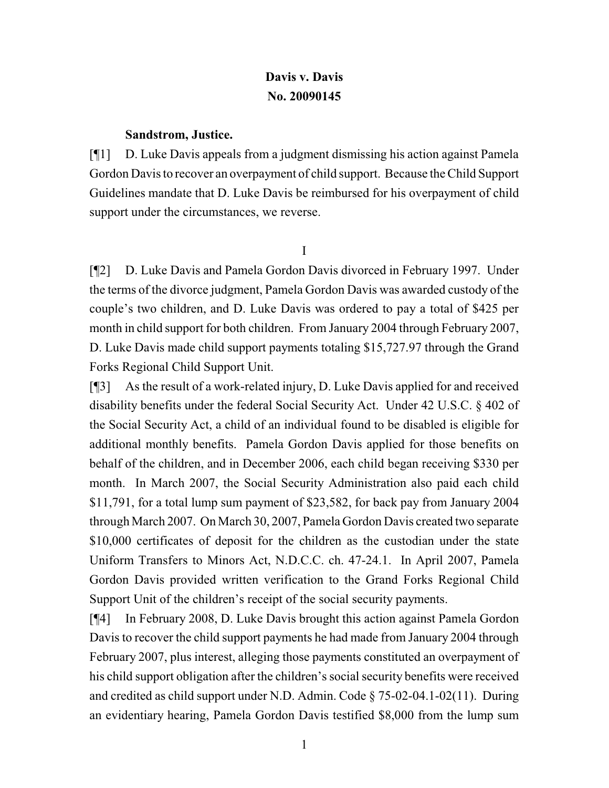## **Davis v. Davis [No. 20090145](http://www.ndcourts.gov/supreme-court/dockets/20090145)**

#### **Sandstrom, Justice.**

[¶1] D. Luke Davis appeals from a judgment dismissing his action against Pamela Gordon Davis to recover an overpayment of child support. Because the Child Support Guidelines mandate that D. Luke Davis be reimbursed for his overpayment of child support under the circumstances, we reverse.

I

[¶2] D. Luke Davis and Pamela Gordon Davis divorced in February 1997. Under the terms of the divorce judgment, Pamela Gordon Davis was awarded custody of the couple's two children, and D. Luke Davis was ordered to pay a total of \$425 per month in child support for both children. From January 2004 through February 2007, D. Luke Davis made child support payments totaling \$15,727.97 through the Grand Forks Regional Child Support Unit.

[¶3] As the result of a work-related injury, D. Luke Davis applied for and received disability benefits under the federal Social Security Act. Under 42 U.S.C. § 402 of the Social Security Act, a child of an individual found to be disabled is eligible for additional monthly benefits. Pamela Gordon Davis applied for those benefits on behalf of the children, and in December 2006, each child began receiving \$330 per month. In March 2007, the Social Security Administration also paid each child \$11,791, for a total lump sum payment of \$23,582, for back pay from January 2004 through March 2007. On March 30, 2007, Pamela Gordon Davis created two separate \$10,000 certificates of deposit for the children as the custodian under the state Uniform Transfers to Minors Act, N.D.C.C. ch. 47-24.1. In April 2007, Pamela Gordon Davis provided written verification to the Grand Forks Regional Child Support Unit of the children's receipt of the social security payments.

[¶4] In February 2008, D. Luke Davis brought this action against Pamela Gordon Davis to recover the child support payments he had made from January 2004 through February 2007, plus interest, alleging those payments constituted an overpayment of his child support obligation after the children's social security benefits were received and credited as child support under N.D. Admin. Code § 75-02-04.1-02(11). During an evidentiary hearing, Pamela Gordon Davis testified \$8,000 from the lump sum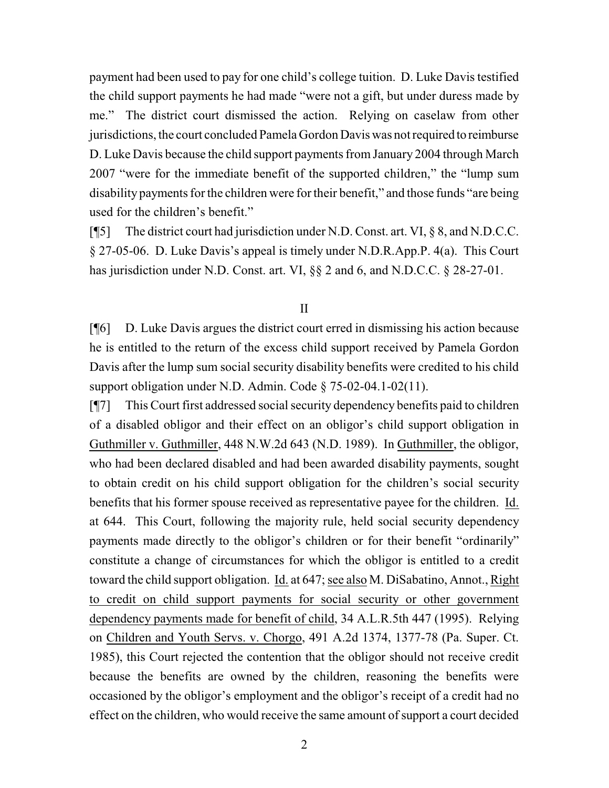payment had been used to pay for one child's college tuition. D. Luke Davis testified the child support payments he had made "were not a gift, but under duress made by me." The district court dismissed the action. Relying on caselaw from other jurisdictions, the court concluded Pamela Gordon Davis was not required to reimburse D. Luke Davis because the child support payments from January 2004 through March 2007 "were for the immediate benefit of the supported children," the "lump sum disability payments for the children were for their benefit," and those funds "are being used for the children's benefit."

[¶5] The district court had jurisdiction under N.D. Const. art. VI, § 8, and N.D.C.C. § 27-05-06. D. Luke Davis's appeal is timely under [N.D.R.App.P. 4\(a\).](http://www.ndcourts.gov/legal-resources/rules/ndrappp/4) This Court has jurisdiction under N.D. Const. art. VI, §§ 2 and 6, and N.D.C.C. § 28-27-01.

#### II

[¶6] D. Luke Davis argues the district court erred in dismissing his action because he is entitled to the return of the excess child support received by Pamela Gordon Davis after the lump sum social security disability benefits were credited to his child support obligation under N.D. Admin. Code § 75-02-04.1-02(11).

[¶7] This Court first addressed social security dependency benefits paid to children of a disabled obligor and their effect on an obligor's child support obligation in Guthmiller v. Guthmiller, [448 N.W.2d 643](http://www.ndcourts.gov/supreme-court/opinion/448NW2d643) (N.D. 1989). In Guthmiller, the obligor, who had been declared disabled and had been awarded disability payments, sought to obtain credit on his child support obligation for the children's social security benefits that his former spouse received as representative payee for the children. Id. at 644. This Court, following the majority rule, held social security dependency payments made directly to the obligor's children or for their benefit "ordinarily" constitute a change of circumstances for which the obligor is entitled to a credit toward the child support obligation. Id. at 647; see also M. DiSabatino, Annot., Right to credit on child support payments for social security or other government dependency payments made for benefit of child, 34 A.L.R.5th 447 (1995). Relying on Children and Youth Servs. v. Chorgo, 491 A.2d 1374, 1377-78 (Pa. Super. Ct. 1985), this Court rejected the contention that the obligor should not receive credit because the benefits are owned by the children, reasoning the benefits were occasioned by the obligor's employment and the obligor's receipt of a credit had no effect on the children, who would receive the same amount of support a court decided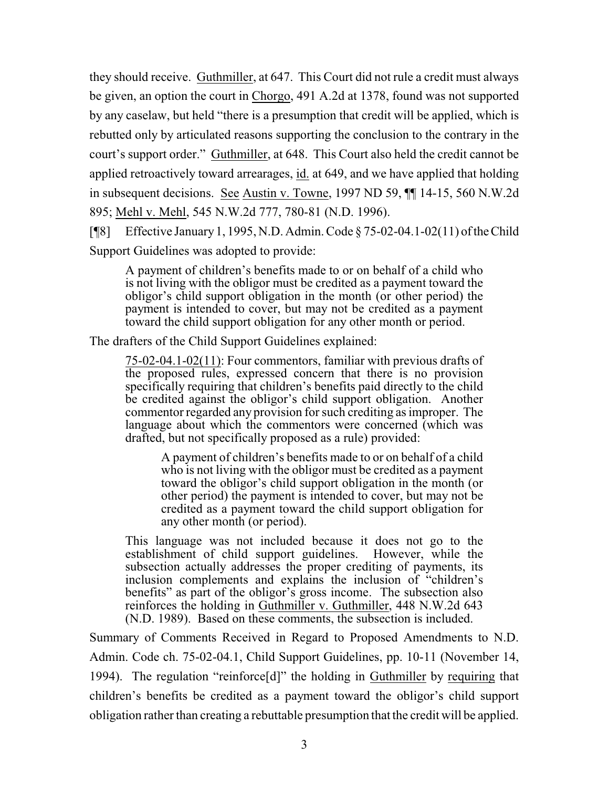they should receive. Guthmiller, at 647. This Court did not rule a credit must always be given, an option the court in Chorgo, 491 A.2d at 1378, found was not supported by any caselaw, but held "there is a presumption that credit will be applied, which is rebutted only by articulated reasons supporting the conclusion to the contrary in the court's support order." Guthmiller, at 648. This Court also held the credit cannot be applied retroactively toward arrearages, id. at 649, and we have applied that holding in subsequent decisions. See Austin v. Towne, [1997 ND 59,](http://www.ndcourts.gov/supreme-court/opinion/1997ND59) ¶¶ 14-15, 560 N.W.2d 895; Mehl v. Mehl, [545 N.W.2d 777,](http://www.ndcourts.gov/supreme-court/opinion/545NW2d777) 780-81 (N.D. 1996).

[¶8] Effective January1, 1995, N.D. Admin. Code § 75-02-04.1-02(11) of theChild Support Guidelines was adopted to provide:

A payment of children's benefits made to or on behalf of a child who is not living with the obligor must be credited as a payment toward the obligor's child support obligation in the month (or other period) the payment is intended to cover, but may not be credited as a payment toward the child support obligation for any other month or period.

The drafters of the Child Support Guidelines explained:

75-02-04.1-02(11): Four commentors, familiar with previous drafts of the proposed rules, expressed concern that there is no provision specifically requiring that children's benefits paid directly to the child be credited against the obligor's child support obligation. Another commentor regarded any provision for such crediting as improper. The language about which the commentors were concerned (which was drafted, but not specifically proposed as a rule) provided:

A payment of children's benefits made to or on behalf of a child who is not living with the obligor must be credited as a payment toward the obligor's child support obligation in the month (or other period) the payment is intended to cover, but may not be credited as a payment toward the child support obligation for any other month (or period).

This language was not included because it does not go to the establishment of child support guidelines. However, while the subsection actually addresses the proper crediting of payments, its inclusion complements and explains the inclusion of "children's benefits" as part of the obligor's gross income. The subsection also reinforces the holding in Guthmiller v. Guthmiller, [448 N.W.2d 643](http://www.ndcourts.gov/supreme-court/opinion/448NW2d643) (N.D. 1989). Based on these comments, the subsection is included.

Summary of Comments Received in Regard to Proposed Amendments to N.D. Admin. Code ch. 75-02-04.1, Child Support Guidelines, pp. 10-11 (November 14, 1994). The regulation "reinforce[d]" the holding in Guthmiller by requiring that children's benefits be credited as a payment toward the obligor's child support obligation rather than creating a rebuttable presumption that the credit will be applied.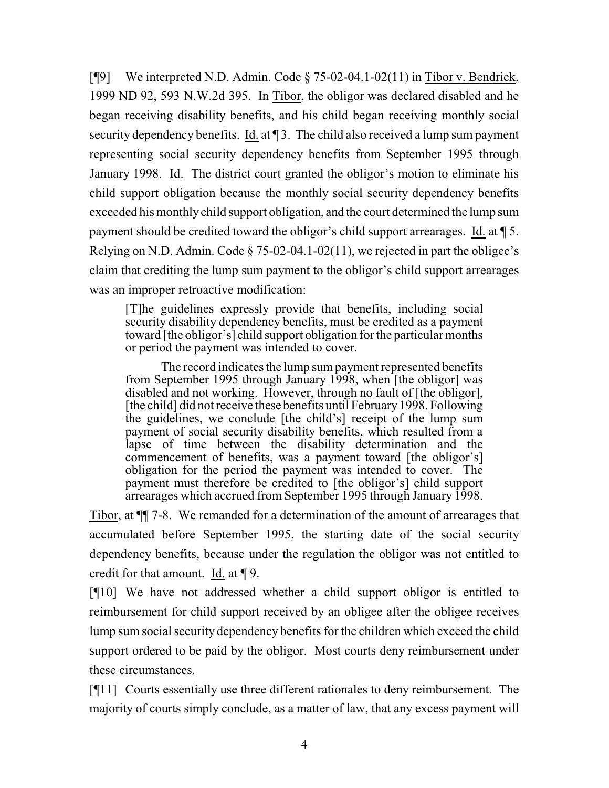[¶9] We interpreted N.D. Admin. Code § 75-02-04.1-02(11) in Tibor v. Bendrick, [1999 ND 92,](http://www.ndcourts.gov/supreme-court/opinion/1999ND92) 593 [N.W.2d](http://www.ndcourts.gov/supreme-court/opinion/593NW2d395) 395. In Tibor, the obligor was declared disabled and he began receiving disability benefits, and his child began receiving monthly social security dependency benefits. Id. at ¶ 3. The child also received a lump sum payment representing social security dependency benefits from September 1995 through January 1998. Id. The district court granted the obligor's motion to eliminate his child support obligation because the monthly social security dependency benefits exceeded his monthlychild support obligation, and the court determined the lump sum payment should be credited toward the obligor's child support arrearages. Id. at ¶ 5. Relying on N.D. Admin. Code  $\S$  75-02-04.1-02(11), we rejected in part the obligee's claim that crediting the lump sum payment to the obligor's child support arrearages was an improper retroactive modification:

[T]he guidelines expressly provide that benefits, including social security disability dependency benefits, must be credited as a payment toward [the obligor's] child support obligation for the particular months or period the payment was intended to cover.

The record indicates the lump sumpayment represented benefits from September 1995 through January 1998, when [the obligor] was disabled and not working. However, through no fault of [the obligor], [the child] did not receive these benefits until February 1998. Following the guidelines, we conclude [the child's] receipt of the lump sum payment of social security disability benefits, which resulted from a lapse of time between the disability determination and the commencement of benefits, was a payment toward [the obligor's] obligation for the period the payment was intended to cover. The payment must therefore be credited to [the obligor's] child support arrearages which accrued from September 1995 through January 1998.

Tibor, at ¶¶ 7-8. We remanded for a determination of the amount of arrearages that accumulated before September 1995, the starting date of the social security dependency benefits, because under the regulation the obligor was not entitled to credit for that amount. Id. at ¶ 9.

[¶10] We have not addressed whether a child support obligor is entitled to reimbursement for child support received by an obligee after the obligee receives lump sum social security dependency benefits for the children which exceed the child support ordered to be paid by the obligor. Most courts deny reimbursement under these circumstances.

[¶11] Courts essentially use three different rationales to deny reimbursement. The majority of courts simply conclude, as a matter of law, that any excess payment will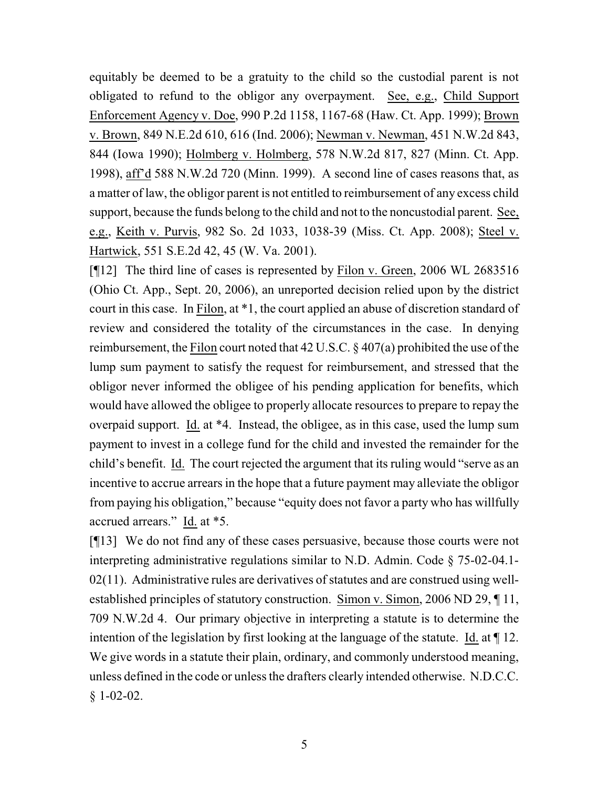equitably be deemed to be a gratuity to the child so the custodial parent is not obligated to refund to the obligor any overpayment. See, e.g., Child Support Enforcement Agency v. Doe, 990 P.2d 1158, 1167-68 (Haw. Ct. App. 1999); Brown v. Brown, 849 N.E.2d 610, 616 (Ind. 2006); Newman v. Newman, 451 N.W.2d 843, 844 (Iowa 1990); Holmberg v. Holmberg, 578 N.W.2d 817, 827 (Minn. Ct. App. 1998), aff'd 588 N.W.2d 720 (Minn. 1999). A second line of cases reasons that, as a matter of law, the obligor parent is not entitled to reimbursement of any excess child support, because the funds belong to the child and not to the noncustodial parent. See, e.g., Keith v. Purvis, 982 So. 2d 1033, 1038-39 (Miss. Ct. App. 2008); Steel v. Hartwick, 551 S.E.2d 42, 45 (W. Va. 2001).

[¶12] The third line of cases is represented by Filon v. Green, 2006 WL [2683516](http://www.ndcourts.gov/supreme-court/dockets/2683516) (Ohio Ct. App., Sept. 20, 2006), an unreported decision relied upon by the district court in this case. In Filon, at \*1, the court applied an abuse of discretion standard of review and considered the totality of the circumstances in the case. In denying reimbursement, the Filon court noted that 42 U.S.C. § 407(a) prohibited the use of the lump sum payment to satisfy the request for reimbursement, and stressed that the obligor never informed the obligee of his pending application for benefits, which would have allowed the obligee to properly allocate resources to prepare to repay the overpaid support. Id. at \*4. Instead, the obligee, as in this case, used the lump sum payment to invest in a college fund for the child and invested the remainder for the child's benefit. Id. The court rejected the argument that its ruling would "serve as an incentive to accrue arrears in the hope that a future payment may alleviate the obligor from paying his obligation," because "equity does not favor a party who has willfully accrued arrears." Id. at \*5.

[¶13] We do not find any of these cases persuasive, because those courts were not interpreting administrative regulations similar to N.D. Admin. Code § 75-02-04.1-  $02(11)$ . Administrative rules are derivatives of statutes and are construed using well-established principles of statutory construction. Simon v. Simon, [2006 ND 29,](http://www.ndcourts.gov/supreme-court/opinion/2006ND29) 11, 709 N.W.2d 4. Our primary objective in interpreting a statute is to determine the intention of the legislation by first looking at the language of the statute. Id. at ¶ 12. We give words in a statute their plain, ordinary, and commonly understood meaning, unless defined in the code or unless the drafters clearly intended otherwise. N.D.C.C. § 1-02-02.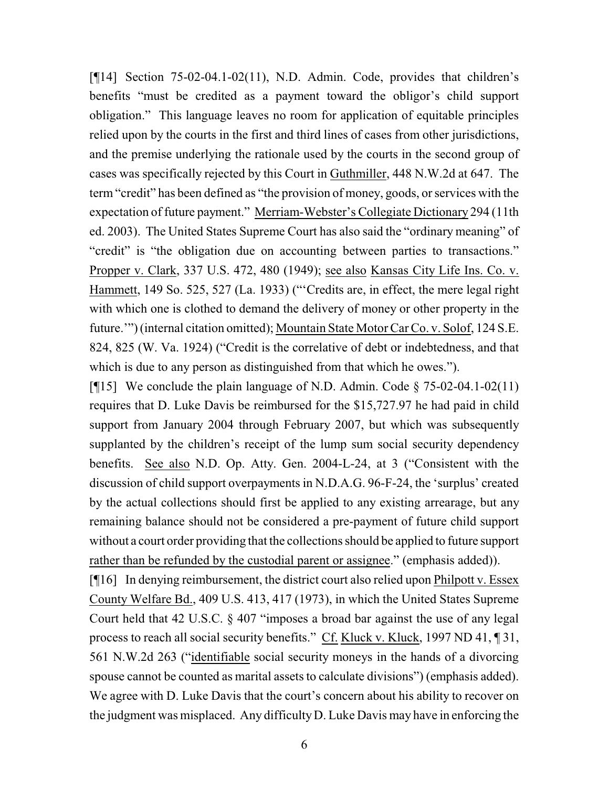[¶14] Section 75-02-04.1-02(11), N.D. Admin. Code, provides that children's benefits "must be credited as a payment toward the obligor's child support obligation." This language leaves no room for application of equitable principles relied upon by the courts in the first and third lines of cases from other jurisdictions, and the premise underlying the rationale used by the courts in the second group of cases was specifically rejected by this Court in Guthmiller, 448 N.W.2d at 647. The term "credit" has been defined as "the provision of money, goods, or services with the expectation of future payment." Merriam-Webster's Collegiate Dictionary 294 (11th ed. 2003). The United States Supreme Court has also said the "ordinary meaning" of "credit" is "the obligation due on accounting between parties to transactions." Propper v. Clark, 337 U.S. 472, 480 (1949); see also Kansas City Life Ins. Co. v. Hammett, 149 So. 525, 527 (La. 1933) ("'Credits are, in effect, the mere legal right with which one is clothed to demand the delivery of money or other property in the future."") (internal citation omitted); Mountain State Motor Car Co. v. Solof, 124 S.E. 824, 825 (W. Va. 1924) ("Credit is the correlative of debt or indebtedness, and that which is due to any person as distinguished from that which he owes.").

[ $[15]$  We conclude the plain language of N.D. Admin. Code  $\S$  75-02-04.1-02(11) requires that D. Luke Davis be reimbursed for the \$15,727.97 he had paid in child support from January 2004 through February 2007, but which was subsequently supplanted by the children's receipt of the lump sum social security dependency benefits. See also N.D. Op. Atty. Gen. 2004-L-24, at 3 ("Consistent with the discussion of child support overpayments in N.D.A.G. 96-F-24, the 'surplus' created by the actual collections should first be applied to any existing arrearage, but any remaining balance should not be considered a pre-payment of future child support without a court order providing that the collections should be applied to future support rather than be refunded by the custodial parent or assignee." (emphasis added)).

[¶16] In denying reimbursement, the district court also relied upon Philpott v. Essex County Welfare Bd., 409 U.S. 413, 417 (1973), in which the United States Supreme Court held that 42 U.S.C. § 407 "imposes a broad bar against the use of any legal process to reach all social security benefits." Cf. Kluck v. Kluck, [1997 ND 41,](http://www.ndcourts.gov/supreme-court/opinion/1997ND41) ¶ 31, 561 N.W.2d 263 ("identifiable social security moneys in the hands of a divorcing spouse cannot be counted as marital assets to calculate divisions") (emphasis added). We agree with D. Luke Davis that the court's concern about his ability to recover on the judgment was misplaced. Any difficultyD. Luke Davis may have in enforcing the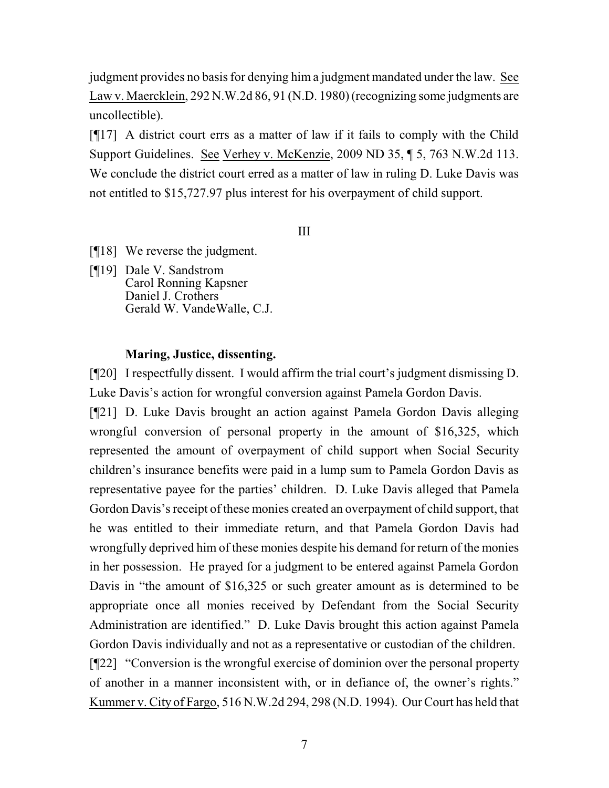judgment provides no basis for denying him a judgment mandated under the law. See Law v. Maercklein, 292 N.W.2d 86, 91 (N.D. 1980) (recognizing some judgments are uncollectible).

[¶17] A district court errs as a matter of law if it fails to comply with the Child Support Guidelines. See Verhey v. McKenzie, [2009 ND 35,](http://www.ndcourts.gov/supreme-court/opinion/2009ND35) ¶ 5, [763 N.W.2d 113.](http://www.ndcourts.gov/supreme-court/opinion/763NW2d113)  We conclude the district court erred as a matter of law in ruling D. Luke Davis was not entitled to \$15,727.97 plus interest for his overpayment of child support.

III

- [¶18] We reverse the judgment.
- [¶19] Dale V. Sandstrom Carol Ronning Kapsner Daniel J. Crothers Gerald W. VandeWalle, C.J.

#### **Maring, Justice, dissenting.**

[¶20] I respectfully dissent. I would affirm the trial court's judgment dismissing D. Luke Davis's action for wrongful conversion against Pamela Gordon Davis.

[¶21] D. Luke Davis brought an action against Pamela Gordon Davis alleging wrongful conversion of personal property in the amount of \$16,325, which represented the amount of overpayment of child support when Social Security children's insurance benefits were paid in a lump sum to Pamela Gordon Davis as representative payee for the parties' children. D. Luke Davis alleged that Pamela Gordon Davis's receipt of these monies created an overpayment of child support, that he was entitled to their immediate return, and that Pamela Gordon Davis had wrongfully deprived him of these monies despite his demand for return of the monies in her possession. He prayed for a judgment to be entered against Pamela Gordon Davis in "the amount of \$16,325 or such greater amount as is determined to be appropriate once all monies received by Defendant from the Social Security Administration are identified." D. Luke Davis brought this action against Pamela Gordon Davis individually and not as a representative or custodian of the children. [¶22] "Conversion is the wrongful exercise of dominion over the personal property of another in a manner inconsistent with, or in defiance of, the owner's rights." Kummer v. City of Fargo, [516 N.W.2d 294,](http://www.ndcourts.gov/supreme-court/opinion/516NW2d294) 298 (N.D. 1994). Our Court has held that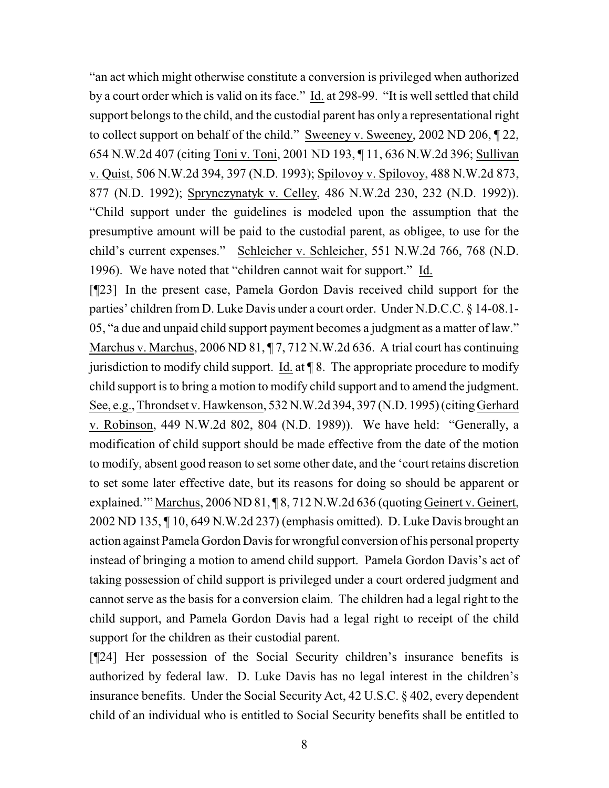"an act which might otherwise constitute a conversion is privileged when authorized by a court order which is valid on its face." Id. at 298-99. "It is well settled that child support belongs to the child, and the custodial parent has only a representational right to collect support on behalf of the child." Sweeney v. Sweeney, [2002 ND 206,](http://www.ndcourts.gov/supreme-court/opinion/2002ND206) ¶ 22, [654 N.W.2d 407](http://www.ndcourts.gov/supreme-court/opinion/654NW2d407) (citing Toni v. Toni, [2001 ND 193,](http://www.ndcourts.gov/supreme-court/opinion/2001ND193) ¶ 11, [636 N.W.2d 396;](http://www.ndcourts.gov/supreme-court/opinion/636NW2d396) Sullivan v. Quist, [506 N.W.2d 394,](http://www.ndcourts.gov/supreme-court/opinion/506NW2d394) 397 (N.D. 1993); Spilovoy v. Spilovoy, [488 N.W.2d 873,](http://www.ndcourts.gov/supreme-court/opinion/488NW2d873) 877 (N.D. 1992); Sprynczynatyk v. Celley, [486 N.W.2d 230,](http://www.ndcourts.gov/supreme-court/opinion/486NW2d230) 232 (N.D. 1992)). "Child support under the guidelines is modeled upon the assumption that the presumptive amount will be paid to the custodial parent, as obligee, to use for the child's current expenses." Schleicher v. Schleicher, [551 N.W.2d 766,](http://www.ndcourts.gov/supreme-court/opinion/551NW2d766) 768 (N.D. 1996). We have noted that "children cannot wait for support." Id.

[¶23] In the present case, Pamela Gordon Davis received child support for the parties' children from D. Luke Davis under a court order. Under N.D.C.C. § 14-08.1- 05, "a due and unpaid child support payment becomes a judgment as a matter of law." Marchus v. Marchus, [2006 ND 81,](http://www.ndcourts.gov/supreme-court/opinion/2006ND81) 17, [712 N.W.2d 636.](http://www.ndcourts.gov/supreme-court/opinion/712NW2d636) A trial court has continuing jurisdiction to modify child support. Id. at  $\P$  8. The appropriate procedure to modify child support is to bring a motion to modify child support and to amend the judgment. See, e.g., Throndset v. Hawkenson, [532 N.W.2d 394,](http://www.ndcourts.gov/supreme-court/opinion/532NW2d394) 397 (N.D. 1995) (citing Gerhard v. Robinson, [449 N.W.2d 802,](http://www.ndcourts.gov/supreme-court/opinion/449NW2d802) 804 (N.D. 1989)). We have held: "Generally, a modification of child support should be made effective from the date of the motion to modify, absent good reason to set some other date, and the 'court retains discretion to set some later effective date, but its reasons for doing so should be apparent or explained." Marchus, [2006 ND 81,](http://www.ndcourts.gov/supreme-court/opinion/2006ND81) [8, [712 N.W.2d 636](http://www.ndcourts.gov/supreme-court/opinion/712NW2d636) (quoting Geinert v. Geinert, [2002 ND 135,](http://www.ndcourts.gov/supreme-court/opinion/2002ND135) ¶ 10, [649 N.W.2d 237\)](http://www.ndcourts.gov/supreme-court/opinion/649NW2d237) (emphasis omitted). D. Luke Davis brought an action against Pamela Gordon Davis for wrongful conversion of his personal property instead of bringing a motion to amend child support. Pamela Gordon Davis's act of taking possession of child support is privileged under a court ordered judgment and cannot serve as the basis for a conversion claim. The children had a legal right to the child support, and Pamela Gordon Davis had a legal right to receipt of the child support for the children as their custodial parent.

[¶24] Her possession of the Social Security children's insurance benefits is authorized by federal law. D. Luke Davis has no legal interest in the children's insurance benefits. Under the Social Security Act, 42 U.S.C. § 402, every dependent child of an individual who is entitled to Social Security benefits shall be entitled to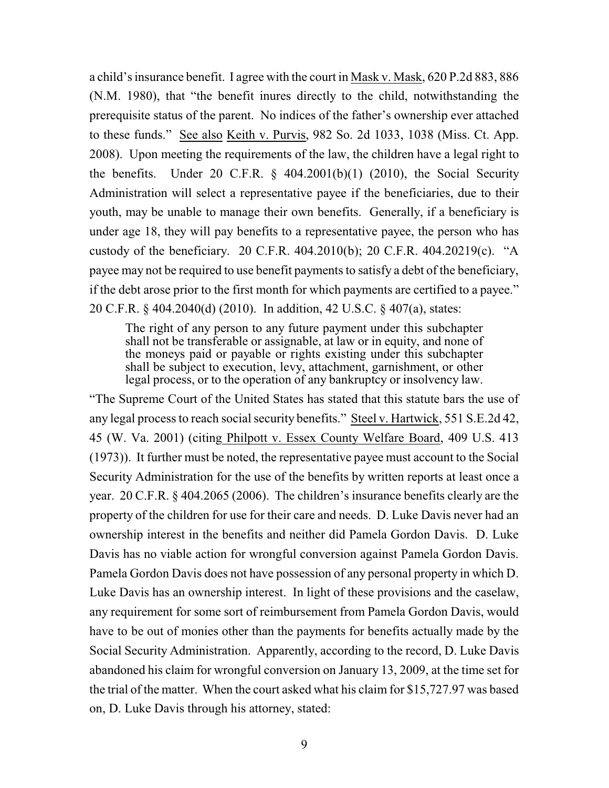a child's insurance benefit. I agree with the court in Mask v. Mask, 620 P.2d 883, 886 (N.M. 1980), that "the benefit inures directly to the child, notwithstanding the prerequisite status of the parent. No indices of the father's ownership ever attached to these funds." See also Keith v. Purvis, 982 So. 2d 1033, 1038 (Miss. Ct. App. 2008). Upon meeting the requirements of the law, the children have a legal right to the benefits. Under 20 C.F.R.  $\S$  404.2001(b)(1) (2010), the Social Security Administration will select a representative payee if the beneficiaries, due to their youth, may be unable to manage their own benefits. Generally, if a beneficiary is under age 18, they will pay benefits to a representative payee, the person who has custody of the beneficiary. 20 C.F.R. 404.2010(b); 20 C.F.R. 404.20219(c). "A payee may not be required to use benefit payments to satisfy a debt of the beneficiary, if the debt arose prior to the first month for which payments are certified to a payee." 20 C.F.R. § 404.2040(d) (2010). In addition, 42 U.S.C. § 407(a), states:

The right of any person to any future payment under this subchapter shall not be transferable or assignable, at law or in equity, and none of the moneys paid or payable or rights existing under this subchapter shall be subject to execution, levy, attachment, garnishment, or other legal process, or to the operation of any bankruptcy or insolvency law.

"The Supreme Court of the United States has stated that this statute bars the use of any legal process to reach social security benefits." Steel v. Hartwick, 551 S.E.2d 42, 45 (W. Va. 2001) (citing Philpott v. Essex County Welfare Board, 409 U.S. 413 (1973)). It further must be noted, the representative payee must account to the Social Security Administration for the use of the benefits by written reports at least once a year. 20 C.F.R. § 404.2065 (2006). The children's insurance benefits clearly are the property of the children for use for their care and needs. D. Luke Davis never had an ownership interest in the benefits and neither did Pamela Gordon Davis. D. Luke Davis has no viable action for wrongful conversion against Pamela Gordon Davis. Pamela Gordon Davis does not have possession of any personal property in which D. Luke Davis has an ownership interest. In light of these provisions and the caselaw, any requirement for some sort of reimbursement from Pamela Gordon Davis, would have to be out of monies other than the payments for benefits actually made by the Social Security Administration. Apparently, according to the record, D. Luke Davis abandoned his claim for wrongful conversion on January 13, 2009, at the time set for the trial of the matter. When the court asked what his claim for \$15,727.97 was based on, D. Luke Davis through his attorney, stated: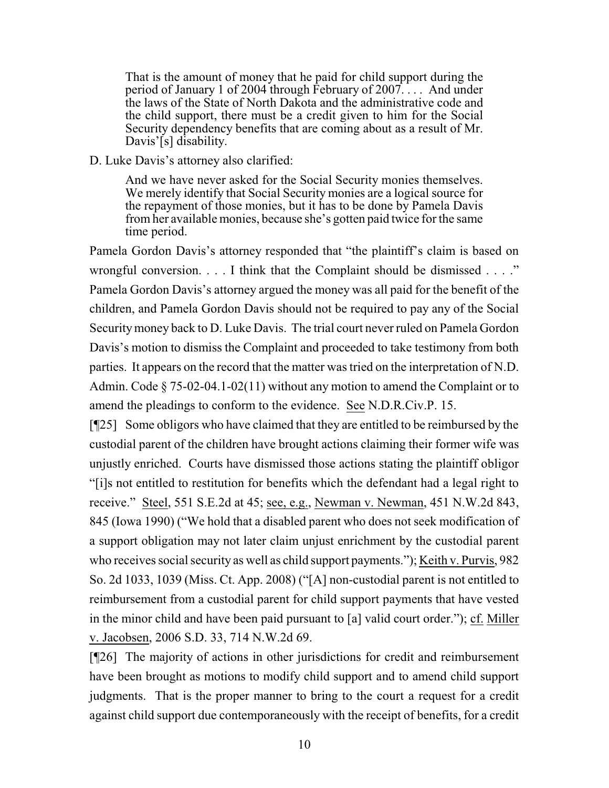That is the amount of money that he paid for child support during the period of January 1 of 2004 through February of  $2007$ .... And under the laws of the State of North Dakota and the administrative code and the child support, there must be a credit given to him for the Social Security dependency benefits that are coming about as a result of Mr. Davis'[s] disability.

#### D. Luke Davis's attorney also clarified:

And we have never asked for the Social Security monies themselves. We merely identify that Social Security monies are a logical source for the repayment of those monies, but it has to be done by Pamela Davis from her available monies, because she's gotten paid twice for the same time period.

Pamela Gordon Davis's attorney responded that "the plaintiff's claim is based on wrongful conversion. . . . I think that the Complaint should be dismissed . . . ." Pamela Gordon Davis's attorney argued the money was all paid for the benefit of the children, and Pamela Gordon Davis should not be required to pay any of the Social Securitymoney back to D. Luke Davis. The trial court never ruled on Pamela Gordon Davis's motion to dismiss the Complaint and proceeded to take testimony from both parties. It appears on the record that the matter was tried on the interpretation of N.D. Admin. Code § 75-02-04.1-02(11) without any motion to amend the Complaint or to amend the pleadings to conform to the evidence. See [N.D.R.Civ.P. 15.](http://www.ndcourts.gov/legal-resources/rules/ndrcivp/15)

[¶25] Some obligors who have claimed that they are entitled to be reimbursed by the custodial parent of the children have brought actions claiming their former wife was unjustly enriched. Courts have dismissed those actions stating the plaintiff obligor "[i]s not entitled to restitution for benefits which the defendant had a legal right to receive." Steel, 551 S.E.2d at 45; see, e.g., Newman v. Newman, 451 N.W.2d 843, 845 (Iowa 1990) ("We hold that a disabled parent who does not seek modification of a support obligation may not later claim unjust enrichment by the custodial parent who receives social security as well as child support payments."); Keith v. Purvis, 982 So. 2d 1033, 1039 (Miss. Ct. App. 2008) ("[A] non-custodial parent is not entitled to reimbursement from a custodial parent for child support payments that have vested in the minor child and have been paid pursuant to [a] valid court order."); cf. Miller v. Jacobsen, 2006 S.D. 33, 714 N.W.2d 69.

[¶26] The majority of actions in other jurisdictions for credit and reimbursement have been brought as motions to modify child support and to amend child support judgments. That is the proper manner to bring to the court a request for a credit against child support due contemporaneously with the receipt of benefits, for a credit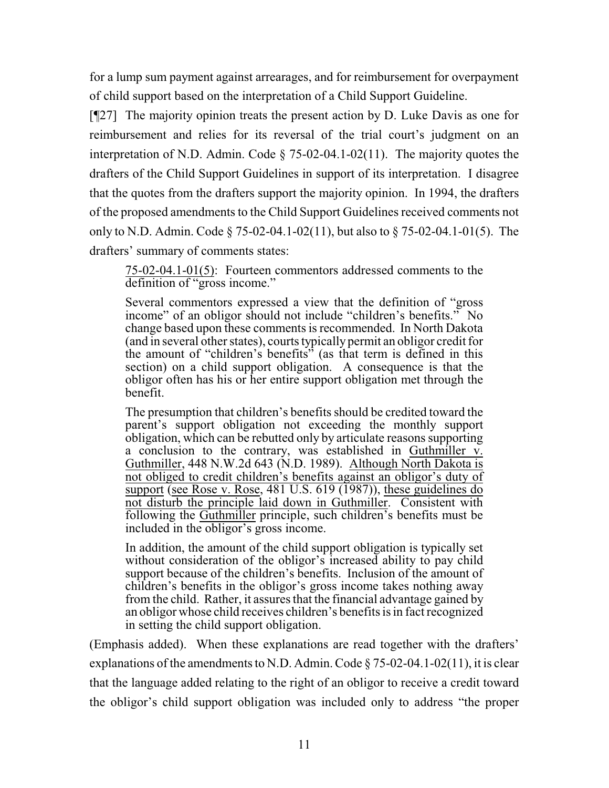for a lump sum payment against arrearages, and for reimbursement for overpayment of child support based on the interpretation of a Child Support Guideline.

[¶27] The majority opinion treats the present action by D. Luke Davis as one for reimbursement and relies for its reversal of the trial court's judgment on an interpretation of N.D. Admin. Code § 75-02-04.1-02(11). The majority quotes the drafters of the Child Support Guidelines in support of its interpretation. I disagree that the quotes from the drafters support the majority opinion. In 1994, the drafters of the proposed amendments to the Child Support Guidelines received comments not only to N.D. Admin. Code § 75-02-04.1-02(11), but also to § 75-02-04.1-01(5). The drafters' summary of comments states:

75-02-04.1-01(5): Fourteen commentors addressed comments to the definition of "gross income."

Several commentors expressed a view that the definition of "gross income" of an obligor should not include "children's benefits." No change based upon these comments is recommended. In North Dakota (and in several other states), courts typically permit an obligor credit for the amount of "children's benefits" (as that term is defined in this section) on a child support obligation. A consequence is that the obligor often has his or her entire support obligation met through the benefit.

The presumption that children's benefits should be credited toward the parent's support obligation not exceeding the monthly support obligation, which can be rebutted only by articulate reasons supporting a conclusion to the contrary, was established in Guthmiller v. Guthmiller, [448 N.W.2d 643](http://www.ndcourts.gov/supreme-court/opinion/448NW2d643) (N.D. 1989). Although North Dakota is not obliged to credit children's benefits against an obligor's duty of support (see Rose v. Rose, 481 U.S. 619 (1987)), these guidelines do not disturb the principle laid down in Guthmiller. Consistent with following the Guthmiller principle, such children's benefits must be included in the obligor's gross income.

In addition, the amount of the child support obligation is typically set without consideration of the obligor's increased ability to pay child support because of the children's benefits. Inclusion of the amount of children's benefits in the obligor's gross income takes nothing away from the child. Rather, it assures that the financial advantage gained by an obligor whose child receives children's benefits is in fact recognized in setting the child support obligation.

(Emphasis added). When these explanations are read together with the drafters' explanations of the amendments to N.D. Admin. Code  $\S 75-02-04.1-02(11)$ , it is clear that the language added relating to the right of an obligor to receive a credit toward the obligor's child support obligation was included only to address "the proper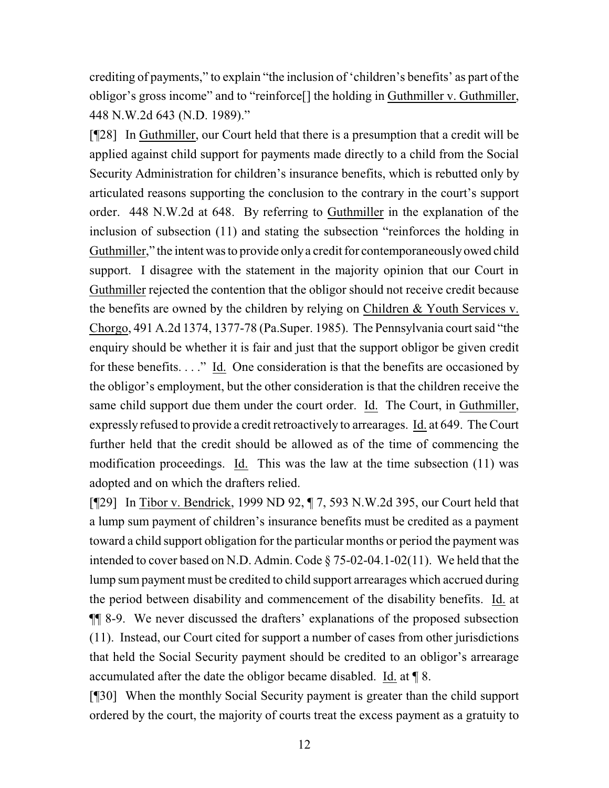crediting of payments," to explain "the inclusion of 'children's benefits' as part of the obligor's gross income" and to "reinforce[] the holding in Guthmiller v. Guthmiller, [448 N.W.2d 643](http://www.ndcourts.gov/supreme-court/opinion/448NW2d643) (N.D. 1989)."

[¶28] In Guthmiller, our Court held that there is a presumption that a credit will be applied against child support for payments made directly to a child from the Social Security Administration for children's insurance benefits, which is rebutted only by articulated reasons supporting the conclusion to the contrary in the court's support order. 448 N.W.2d at 648. By referring to Guthmiller in the explanation of the inclusion of subsection (11) and stating the subsection "reinforces the holding in Guthmiller," the intent was to provide onlya credit for contemporaneouslyowed child support. I disagree with the statement in the majority opinion that our Court in Guthmiller rejected the contention that the obligor should not receive credit because the benefits are owned by the children by relying on Children & Youth Services v. Chorgo, 491 A.2d 1374, 1377-78 (Pa.Super. 1985). The Pennsylvania court said "the enquiry should be whether it is fair and just that the support obligor be given credit for these benefits. . . ." Id. One consideration is that the benefits are occasioned by the obligor's employment, but the other consideration is that the children receive the same child support due them under the court order. Id. The Court, in Guthmiller, expressly refused to provide a credit retroactively to arrearages. Id. at 649. The Court further held that the credit should be allowed as of the time of commencing the modification proceedings. Id. This was the law at the time subsection (11) was adopted and on which the drafters relied.

[¶29] In Tibor v. Bendrick, [1999 ND 92,](http://www.ndcourts.gov/supreme-court/opinion/1999ND92) ¶ 7, [593 N.W.2d 395,](http://www.ndcourts.gov/supreme-court/opinion/593NW2d395) our Court held that a lump sum payment of children's insurance benefits must be credited as a payment toward a child support obligation for the particular months or period the payment was intended to cover based on N.D. Admin. Code § 75-02-04.1-02(11). We held that the lump sum payment must be credited to child support arrearages which accrued during the period between disability and commencement of the disability benefits. Id. at ¶¶ 8-9. We never discussed the drafters' explanations of the proposed subsection (11). Instead, our Court cited for support a number of cases from other jurisdictions that held the Social Security payment should be credited to an obligor's arrearage accumulated after the date the obligor became disabled. Id. at ¶ 8.

[¶30] When the monthly Social Security payment is greater than the child support ordered by the court, the majority of courts treat the excess payment as a gratuity to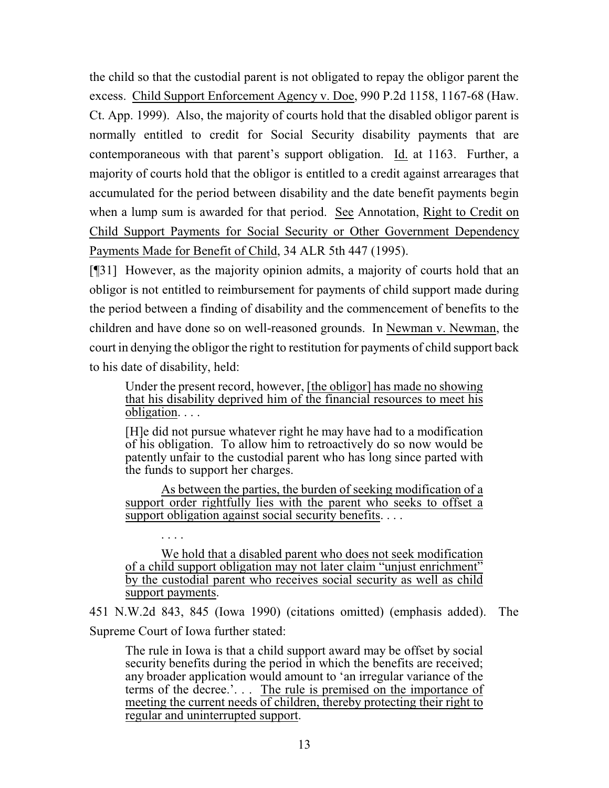the child so that the custodial parent is not obligated to repay the obligor parent the excess. Child Support Enforcement Agency v. Doe, 990 P.2d 1158, 1167-68 (Haw. Ct. App. 1999). Also, the majority of courts hold that the disabled obligor parent is normally entitled to credit for Social Security disability payments that are contemporaneous with that parent's support obligation. Id. at 1163. Further, a majority of courts hold that the obligor is entitled to a credit against arrearages that accumulated for the period between disability and the date benefit payments begin when a lump sum is awarded for that period. See Annotation, Right to Credit on Child Support Payments for Social Security or Other Government Dependency Payments Made for Benefit of Child, 34 ALR 5th 447 (1995).

[¶31] However, as the majority opinion admits, a majority of courts hold that an obligor is not entitled to reimbursement for payments of child support made during the period between a finding of disability and the commencement of benefits to the children and have done so on well-reasoned grounds. In Newman v. Newman, the court in denying the obligor the right to restitution for payments of child support back to his date of disability, held:

Under the present record, however, [the obligor] has made no showing that his disability deprived him of the financial resources to meet his obligation. . . .

[H]e did not pursue whatever right he may have had to a modification of his obligation. To allow him to retroactively do so now would be patently unfair to the custodial parent who has long since parted with the funds to support her charges.

As between the parties, the burden of seeking modification of a support order rightfully lies with the parent who seeks to offset a support obligation against social security benefits. . . .

. . . .

We hold that a disabled parent who does not seek modification of a child support obligation may not later claim "unjust enrichment" by the custodial parent who receives social security as well as child support payments.

451 N.W.2d 843, 845 (Iowa 1990) (citations omitted) (emphasis added). The Supreme Court of Iowa further stated:

The rule in Iowa is that a child support award may be offset by social security benefits during the period in which the benefits are received; any broader application would amount to 'an irregular variance of the terms of the decree.'. . . The rule is premised on the importance of meeting the current needs of children, thereby protecting their right to regular and uninterrupted support.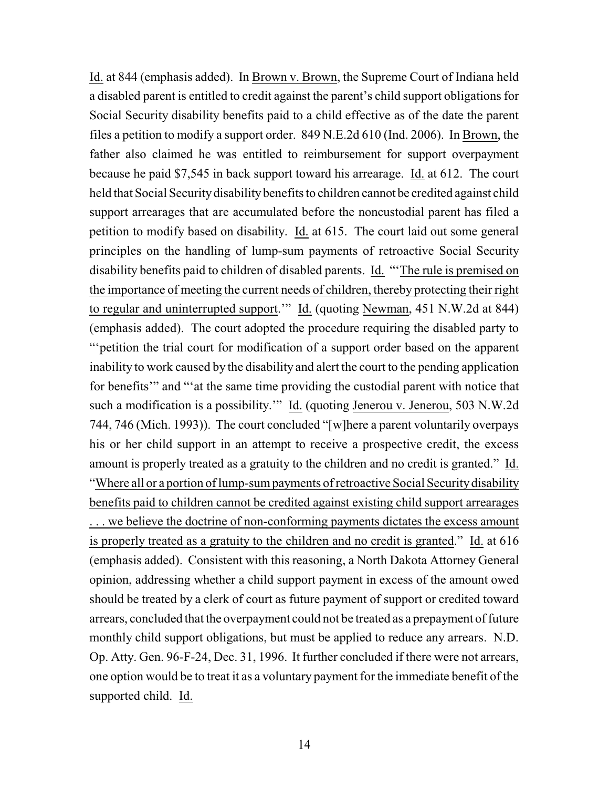Id. at 844 (emphasis added). In Brown v. Brown, the Supreme Court of Indiana held a disabled parent is entitled to credit against the parent's child support obligations for Social Security disability benefits paid to a child effective as of the date the parent files a petition to modify a support order. 849 N.E.2d 610 (Ind. 2006). In Brown, the father also claimed he was entitled to reimbursement for support overpayment because he paid \$7,545 in back support toward his arrearage. Id. at 612. The court held that Social Security disability benefits to children cannot be credited against child support arrearages that are accumulated before the noncustodial parent has filed a petition to modify based on disability. Id. at 615. The court laid out some general principles on the handling of lump-sum payments of retroactive Social Security disability benefits paid to children of disabled parents. Id. "'The rule is premised on the importance of meeting the current needs of children, thereby protecting their right to regular and uninterrupted support.'" Id. (quoting Newman, 451 N.W.2d at 844) (emphasis added). The court adopted the procedure requiring the disabled party to "'petition the trial court for modification of a support order based on the apparent inability to work caused by the disability and alert the court to the pending application for benefits'" and "'at the same time providing the custodial parent with notice that such a modification is a possibility.'" Id. (quoting Jenerou v. Jenerou, 503 N.W.2d 744, 746 (Mich. 1993)). The court concluded "[w]here a parent voluntarily overpays his or her child support in an attempt to receive a prospective credit, the excess amount is properly treated as a gratuity to the children and no credit is granted." Id. "Where all or a portion of lump-sum payments of retroactive Social Security disability benefits paid to children cannot be credited against existing child support arrearages . . . we believe the doctrine of non-conforming payments dictates the excess amount is properly treated as a gratuity to the children and no credit is granted." Id. at 616 (emphasis added). Consistent with this reasoning, a North Dakota Attorney General opinion, addressing whether a child support payment in excess of the amount owed should be treated by a clerk of court as future payment of support or credited toward arrears, concluded that the overpayment could not be treated as a prepayment of future monthly child support obligations, but must be applied to reduce any arrears. N.D. Op. Atty. Gen. 96-F-24, Dec. 31, 1996. It further concluded if there were not arrears, one option would be to treat it as a voluntary payment for the immediate benefit of the supported child. Id.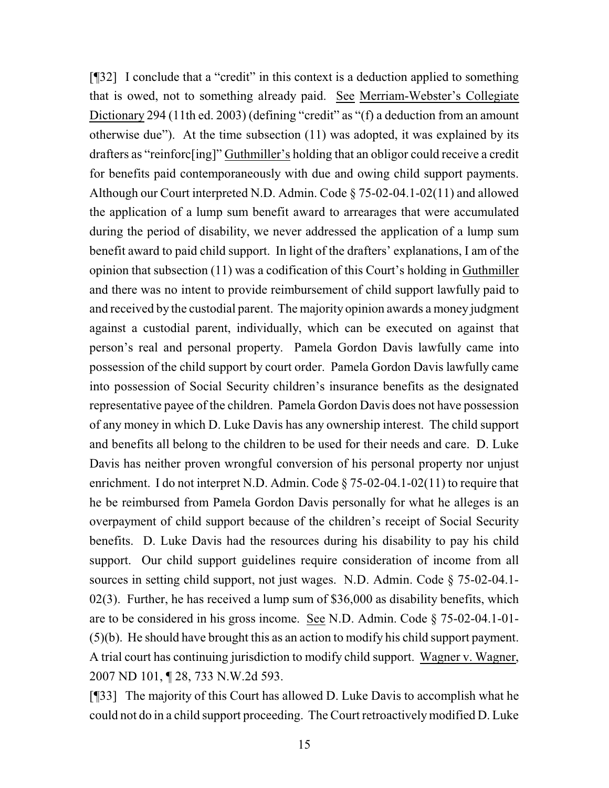[¶32] I conclude that a "credit" in this context is a deduction applied to something that is owed, not to something already paid. See Merriam-Webster's Collegiate Dictionary 294 (11th ed. 2003) (defining "credit" as "(f) a deduction from an amount otherwise due"). At the time subsection (11) was adopted, it was explained by its drafters as "reinforc[ing]" Guthmiller's holding that an obligor could receive a credit for benefits paid contemporaneously with due and owing child support payments. Although our Court interpreted N.D. Admin. Code § 75-02-04.1-02(11) and allowed the application of a lump sum benefit award to arrearages that were accumulated during the period of disability, we never addressed the application of a lump sum benefit award to paid child support. In light of the drafters' explanations, I am of the opinion that subsection (11) was a codification of this Court's holding in Guthmiller and there was no intent to provide reimbursement of child support lawfully paid to and received by the custodial parent. The majority opinion awards a money judgment against a custodial parent, individually, which can be executed on against that person's real and personal property. Pamela Gordon Davis lawfully came into possession of the child support by court order. Pamela Gordon Davis lawfully came into possession of Social Security children's insurance benefits as the designated representative payee of the children. Pamela Gordon Davis does not have possession of any money in which D. Luke Davis has any ownership interest. The child support and benefits all belong to the children to be used for their needs and care. D. Luke Davis has neither proven wrongful conversion of his personal property nor unjust enrichment. I do not interpret N.D. Admin. Code § 75-02-04.1-02(11) to require that he be reimbursed from Pamela Gordon Davis personally for what he alleges is an overpayment of child support because of the children's receipt of Social Security benefits. D. Luke Davis had the resources during his disability to pay his child support. Our child support guidelines require consideration of income from all sources in setting child support, not just wages. N.D. Admin. Code § 75-02-04.1- 02(3). Further, he has received a lump sum of \$36,000 as disability benefits, which are to be considered in his gross income. See N.D. Admin. Code § 75-02-04.1-01- (5)(b). He should have brought this as an action to modify his child support payment. A trial court has continuing jurisdiction to modify child support. Wagner v. Wagner, [2007 ND 101,](http://www.ndcourts.gov/supreme-court/opinion/2007ND101) ¶ 28, [733 N.W.2d 593.](http://www.ndcourts.gov/supreme-court/opinion/733NW2d593)

[¶33] The majority of this Court has allowed D. Luke Davis to accomplish what he could not do in a child support proceeding. The Court retroactivelymodified D. Luke